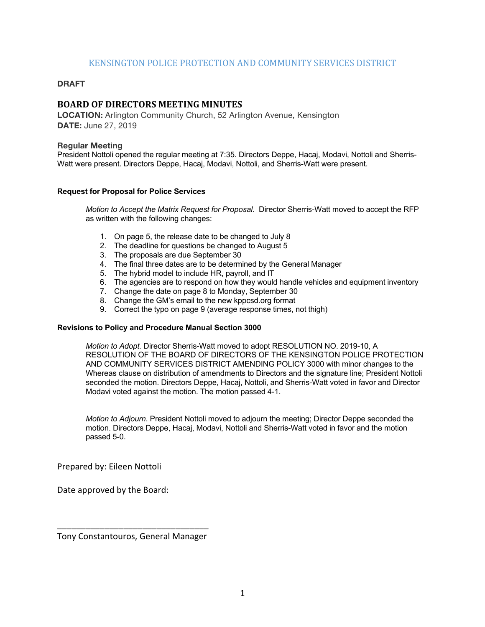# KENSINGTON POLICE PROTECTION AND COMMUNITY SERVICES DISTRICT

## **DRAFT**

## **BOARD OF DIRECTORS MEETING MINUTES**

**LOCATION:** Arlington Community Church, 52 Arlington Avenue, Kensington **DATE:** June 27, 2019

### **Regular Meeting**

President Nottoli opened the regular meeting at 7:35. Directors Deppe, Hacaj, Modavi, Nottoli and Sherris-Watt were present. Directors Deppe, Hacaj, Modavi, Nottoli, and Sherris-Watt were present.

## **Request for Proposal for Police Services**

*Motion to Accept the Matrix Request for Proposal*. Director Sherris-Watt moved to accept the RFP as written with the following changes:

- 1. On page 5, the release date to be changed to July 8
- 2. The deadline for questions be changed to August 5
- 3. The proposals are due September 30
- 4. The final three dates are to be determined by the General Manager
- 5. The hybrid model to include HR, payroll, and IT
- 6. The agencies are to respond on how they would handle vehicles and equipment inventory
- 7. Change the date on page 8 to Monday, September 30
- 8. Change the GM's email to the new kppcsd.org format
- 9. Correct the typo on page 9 (average response times, not thigh)

#### **Revisions to Policy and Procedure Manual Section 3000**

*Motion to Adopt.* Director Sherris-Watt moved to adopt RESOLUTION NO. 2019-10, A RESOLUTION OF THE BOARD OF DIRECTORS OF THE KENSINGTON POLICE PROTECTION AND COMMUNITY SERVICES DISTRICT AMENDING POLICY 3000 with minor changes to the Whereas clause on distribution of amendments to Directors and the signature line; President Nottoli seconded the motion. Directors Deppe, Hacaj, Nottoli, and Sherris-Watt voted in favor and Director Modavi voted against the motion. The motion passed 4-1.

*Motion to Adjourn*. President Nottoli moved to adjourn the meeting; Director Deppe seconded the motion. Directors Deppe, Hacaj, Modavi, Nottoli and Sherris-Watt voted in favor and the motion passed 5-0.

Prepared by: Eileen Nottoli

Date approved by the Board:

\_\_\_\_\_\_\_\_\_\_\_\_\_\_\_\_\_\_\_\_\_\_\_\_\_\_\_\_\_\_\_\_ Tony Constantouros, General Manager